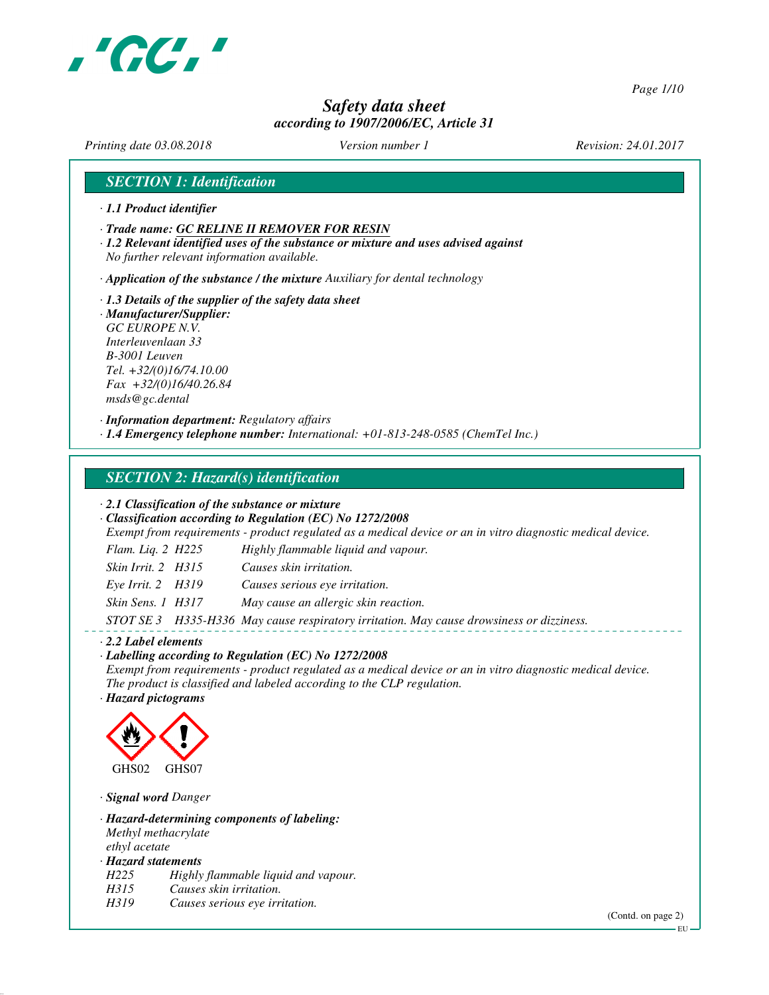

*Page 1/10*

# *Safety data sheet according to 1907/2006/EC, Article 31*

*Printing date 03.08.2018 Version number 1 Revision: 24.01.2017*

# *SECTION 1: Identification*

- *· 1.1 Product identifier*
- *· Trade name: GC RELINE II REMOVER FOR RESIN*
- *· 1.2 Relevant identified uses of the substance or mixture and uses advised against No further relevant information available.*

*· Application of the substance / the mixture Auxiliary for dental technology*

*· 1.3 Details of the supplier of the safety data sheet · Manufacturer/Supplier: GC EUROPE N.V. Interleuvenlaan 33 B-3001 Leuven Tel. +32/(0)16/74.10.00 Fax +32/(0)16/40.26.84 msds@gc.dental*

*· Information department: Regulatory affairs*

*· 1.4 Emergency telephone number: International: +01-813-248-0585 (ChemTel Inc.)*

# *SECTION 2: Hazard(s) identification*

*· 2.1 Classification of the substance or mixture*

*· Classification according to Regulation (EC) No 1272/2008*

*Exempt from requirements - product regulated as a medical device or an in vitro diagnostic medical device.*

| Flam. Liq. $2$ H $225$ | Highly flammable liquid and vapour.                                                      |
|------------------------|------------------------------------------------------------------------------------------|
| Skin Irrit. 2 H315     | Causes skin irritation.                                                                  |
| Eye Irrit. $2$ H319    | Causes serious eye irritation.                                                           |
| Skin Sens. 1 H317      | May cause an allergic skin reaction.                                                     |
|                        | STOT SE 3 H335-H336 May cause respiratory irritation. May cause drowsiness or dizziness. |

#### *· 2.2 Label elements*

*· Labelling according to Regulation (EC) No 1272/2008*

*Exempt from requirements - product regulated as a medical device or an in vitro diagnostic medical device. The product is classified and labeled according to the CLP regulation.*

*· Hazard pictograms*



*· Signal word Danger*

*· Hazard-determining components of labeling: Methyl methacrylate ethyl acetate · Hazard statements*

*H225 Highly flammable liquid and vapour.*

- *H315 Causes skin irritation.*
- *H319 Causes serious eye irritation.*

(Contd. on page 2)

EU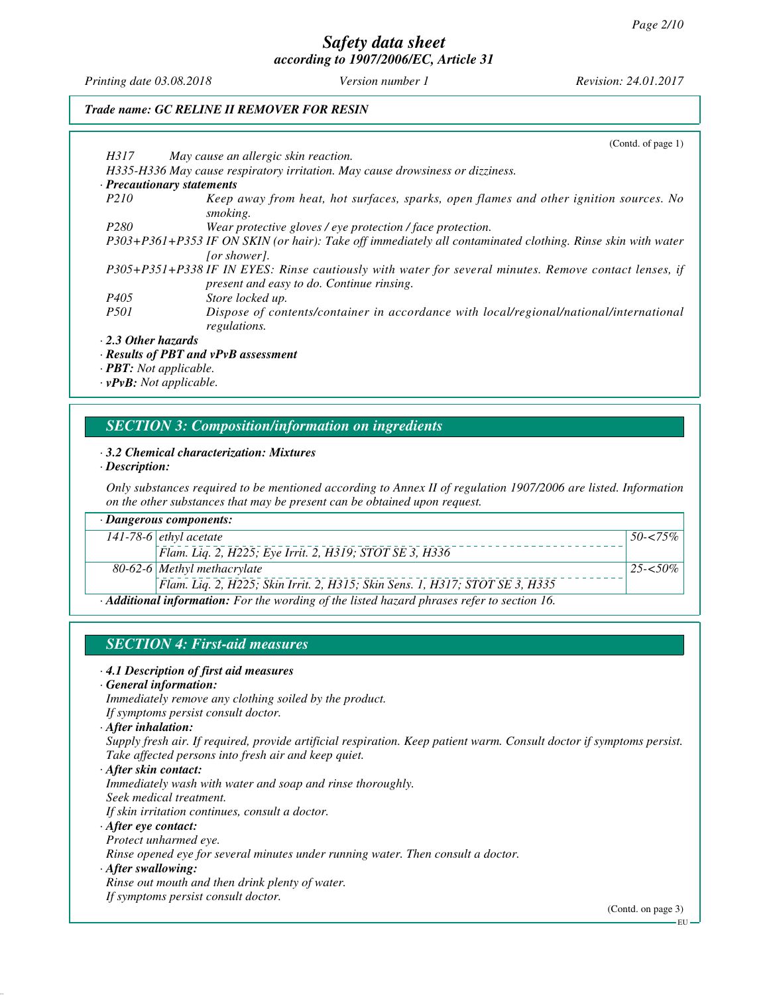*Printing date 03.08.2018 Version number 1 Revision: 24.01.2017*

### *Trade name: GC RELINE II REMOVER FOR RESIN*

|                            | (Cond. of page 1)                                                                                                          |
|----------------------------|----------------------------------------------------------------------------------------------------------------------------|
| H317                       | May cause an allergic skin reaction.                                                                                       |
|                            | H335-H336 May cause respiratory irritation. May cause drowsiness or dizziness.                                             |
| · Precautionary statements |                                                                                                                            |
| P <sub>210</sub>           | Keep away from heat, hot surfaces, sparks, open flames and other ignition sources. No<br>smoking.                          |
| P <sub>280</sub>           | Wear protective gloves / eye protection / face protection.                                                                 |
|                            | P303+P361+P353 IF ON SKIN (or hair): Take off immediately all contaminated clothing. Rinse skin with water<br>for shower). |
|                            | P305+P351+P338 IF IN EYES: Rinse cautiously with water for several minutes. Remove contact lenses, if                      |
|                            | present and easy to do. Continue rinsing.                                                                                  |
| P <sub>405</sub>           | Store locked up.                                                                                                           |
| <i>P501</i>                | Dispose of contents/container in accordance with local/regional/national/international<br>regulations.                     |
| $\cdot$ 2.3 Other hazards  |                                                                                                                            |

#### *· Results of PBT and vPvB assessment*

*· PBT: Not applicable. · vPvB: Not applicable.*

# *SECTION 3: Composition/information on ingredients*

#### *· 3.2 Chemical characterization: Mixtures*

*· Description:*

*Only substances required to be mentioned according to Annex II of regulation 1907/2006 are listed. Information on the other substances that may be present can be obtained upon request.*

| $\cdot$ Dangerous components:                                                               |                                                                              |              |  |
|---------------------------------------------------------------------------------------------|------------------------------------------------------------------------------|--------------|--|
|                                                                                             | 141-78-6 <i>ethyl</i> acetate                                                | $50 - 575\%$ |  |
|                                                                                             | Flam. Liq. 2, H225; Eye Irrit. 2, H319; STOT SE 3, H336                      |              |  |
|                                                                                             | 80-62-6 Methyl methacrylate                                                  | $25 - 50\%$  |  |
|                                                                                             | Flam. Lig. 2, H225; Skin Irrit. 2, H315; Skin Sens. 1, H317; STOT SE 3, H335 |              |  |
| · Additional information: For the wording of the listed hazard phrases refer to section 16. |                                                                              |              |  |

### *SECTION 4: First-aid measures*

#### *· 4.1 Description of first aid measures*

*· General information:*

*Immediately remove any clothing soiled by the product. If symptoms persist consult doctor.*

*Supply fresh air. If required, provide artificial respiration. Keep patient warm. Consult doctor if symptoms persist. Take affected persons into fresh air and keep quiet.*

*· After skin contact:*

*Immediately wash with water and soap and rinse thoroughly. Seek medical treatment.*

*If skin irritation continues, consult a doctor.*

*· After eye contact:*

*Protect unharmed eye.*

*Rinse opened eye for several minutes under running water. Then consult a doctor.*

*· After swallowing:*

*Rinse out mouth and then drink plenty of water.*

*If symptoms persist consult doctor.*

(Contd. on page 3)

*<sup>·</sup> After inhalation:*

EU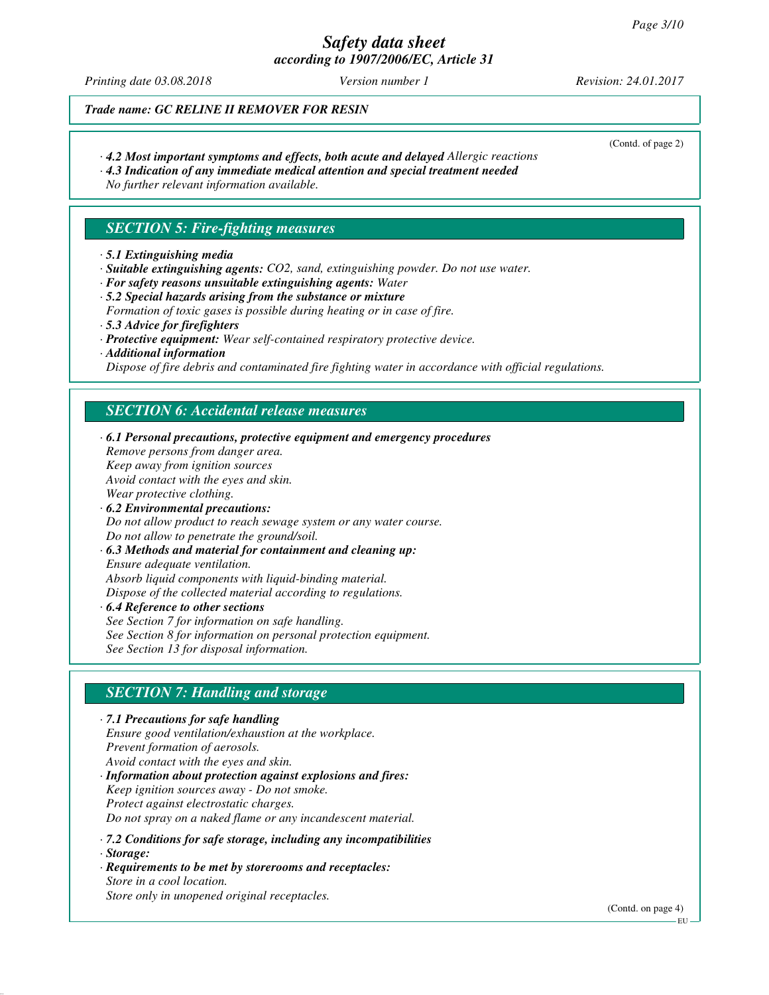# *Safety data sheet*

*according to 1907/2006/EC, Article 31*

*Printing date 03.08.2018 Version number 1 Revision: 24.01.2017*

(Contd. of page 2)

*Trade name: GC RELINE II REMOVER FOR RESIN*

- *· 4.2 Most important symptoms and effects, both acute and delayed Allergic reactions*
- *· 4.3 Indication of any immediate medical attention and special treatment needed*

*No further relevant information available.*

# *SECTION 5: Fire-fighting measures*

- *· 5.1 Extinguishing media*
- *· Suitable extinguishing agents: CO2, sand, extinguishing powder. Do not use water.*
- *· For safety reasons unsuitable extinguishing agents: Water*
- *· 5.2 Special hazards arising from the substance or mixture Formation of toxic gases is possible during heating or in case of fire.*
- *· 5.3 Advice for firefighters*
- *· Protective equipment: Wear self-contained respiratory protective device.*
- *· Additional information*

*Dispose of fire debris and contaminated fire fighting water in accordance with official regulations.*

# *SECTION 6: Accidental release measures*

*· 6.1 Personal precautions, protective equipment and emergency procedures Remove persons from danger area. Keep away from ignition sources Avoid contact with the eyes and skin. Wear protective clothing. · 6.2 Environmental precautions: Do not allow product to reach sewage system or any water course. Do not allow to penetrate the ground/soil. · 6.3 Methods and material for containment and cleaning up: Ensure adequate ventilation. Absorb liquid components with liquid-binding material. Dispose of the collected material according to regulations. · 6.4 Reference to other sections*

*See Section 7 for information on safe handling. See Section 8 for information on personal protection equipment. See Section 13 for disposal information.*

# *SECTION 7: Handling and storage*

*· 7.1 Precautions for safe handling Ensure good ventilation/exhaustion at the workplace. Prevent formation of aerosols. Avoid contact with the eyes and skin. · Information about protection against explosions and fires:*

*Keep ignition sources away - Do not smoke. Protect against electrostatic charges. Do not spray on a naked flame or any incandescent material.*

*· 7.2 Conditions for safe storage, including any incompatibilities*

- *· Storage:*
- *· Requirements to be met by storerooms and receptacles: Store in a cool location. Store only in unopened original receptacles.*

(Contd. on page 4)

EU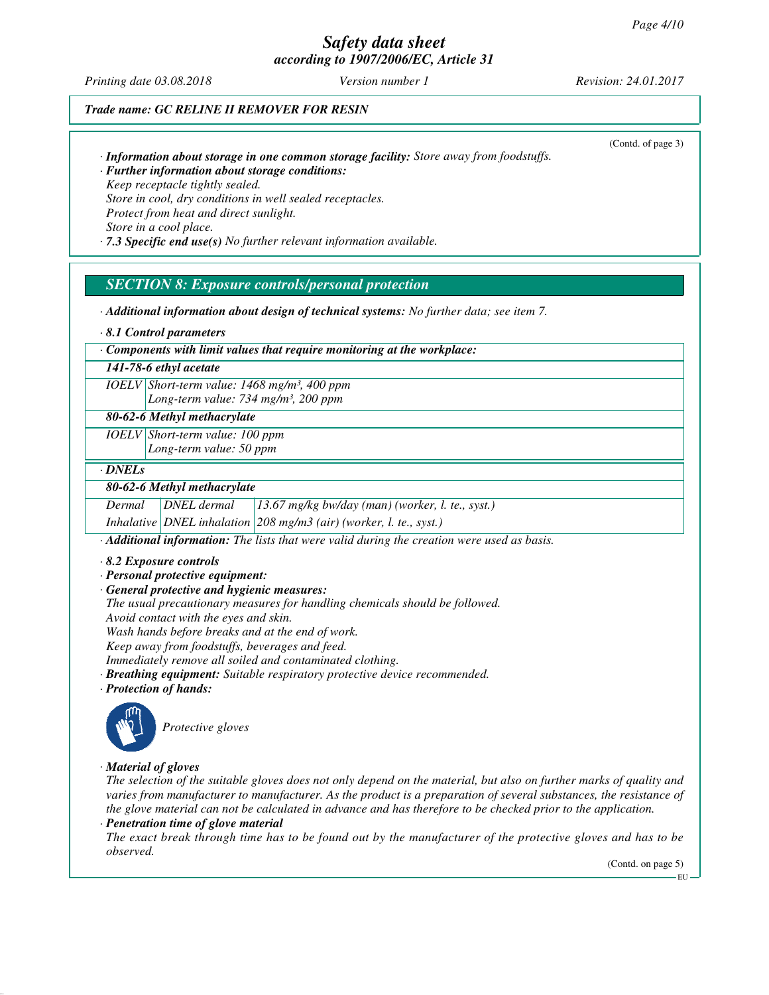*Printing date 03.08.2018 Version number 1 Revision: 24.01.2017*

### *Trade name: GC RELINE II REMOVER FOR RESIN*

*· Information about storage in one common storage facility: Store away from foodstuffs.*

(Contd. of page 3)

*· Further information about storage conditions: Keep receptacle tightly sealed. Store in cool, dry conditions in well sealed receptacles. Protect from heat and direct sunlight. Store in a cool place.*

*· 7.3 Specific end use(s) No further relevant information available.*

### *SECTION 8: Exposure controls/personal protection*

*· Additional information about design of technical systems: No further data; see item 7.*

*· 8.1 Control parameters*

*· Components with limit values that require monitoring at the workplace:*

#### *141-78-6 ethyl acetate*

*IOELV Short-term value: 1468 mg/m³, 400 ppm Long-term value: 734 mg/m³, 200 ppm*

#### *80-62-6 Methyl methacrylate*

*IOELV Short-term value: 100 ppm Long-term value: 50 ppm*

#### *· DNELs*

#### *80-62-6 Methyl methacrylate*

*Dermal DNEL dermal 13.67 mg/kg bw/day (man) (worker, l. te., syst.)*

*Inhalative DNEL inhalation 208 mg/m3 (air) (worker, l. te., syst.)*

*· Additional information: The lists that were valid during the creation were used as basis.*

- *· 8.2 Exposure controls*
- *· Personal protective equipment:*
- *· General protective and hygienic measures:*

*The usual precautionary measures for handling chemicals should be followed.*

*Avoid contact with the eyes and skin.*

*Wash hands before breaks and at the end of work.*

*Keep away from foodstuffs, beverages and feed.*

*Immediately remove all soiled and contaminated clothing.*

*· Breathing equipment: Suitable respiratory protective device recommended.*

*· Protection of hands:*



*Protective gloves*

#### *· Material of gloves*

*The selection of the suitable gloves does not only depend on the material, but also on further marks of quality and varies from manufacturer to manufacturer. As the product is a preparation of several substances, the resistance of the glove material can not be calculated in advance and has therefore to be checked prior to the application.*

*· Penetration time of glove material*

*The exact break through time has to be found out by the manufacturer of the protective gloves and has to be observed.*

(Contd. on page 5)

EU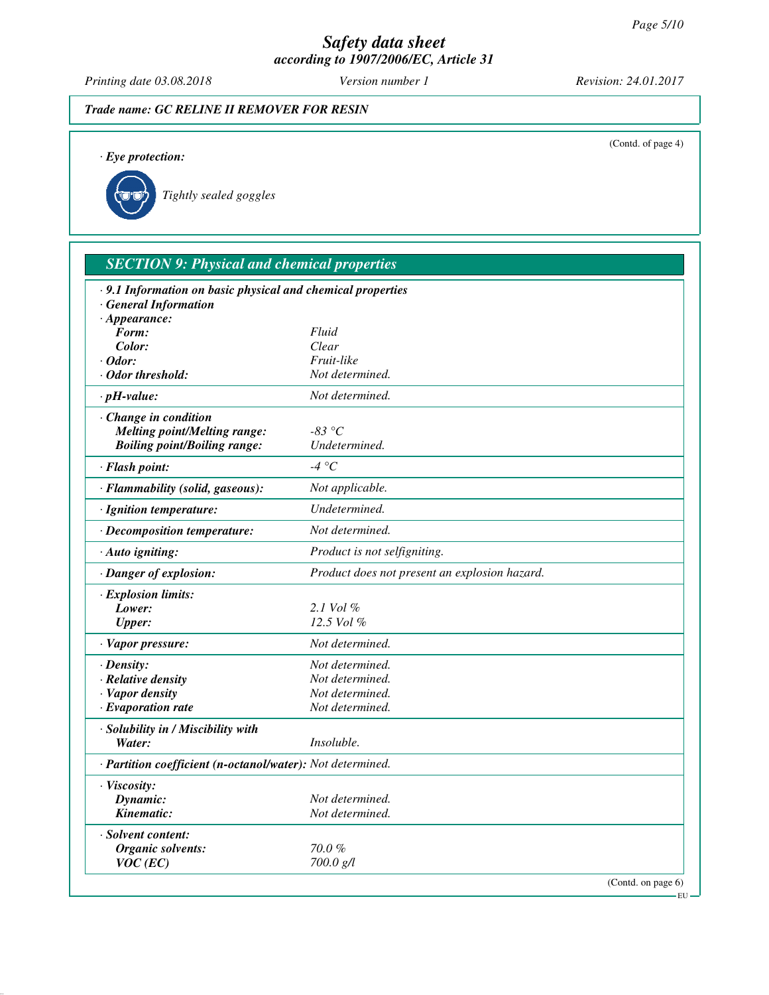*Printing date 03.08.2018 Version number 1 Revision: 24.01.2017*

*· Eye protection:*

# *Trade name: GC RELINE II REMOVER FOR RESIN*

(Contd. of page 4)

*Tightly sealed goggles*

| <b>SECTION 9: Physical and chemical properties</b>         |                                               |  |  |
|------------------------------------------------------------|-----------------------------------------------|--|--|
| .9.1 Information on basic physical and chemical properties |                                               |  |  |
| · General Information                                      |                                               |  |  |
| $\cdot$ Appearance:                                        |                                               |  |  |
| Form:                                                      | Fluid                                         |  |  |
| Color:                                                     | Clear                                         |  |  |
| $\cdot$ Odor:                                              | Fruit-like                                    |  |  |
| · Odor threshold:                                          | Not determined.                               |  |  |
| $\cdot$ pH-value:                                          | Not determined.                               |  |  |
| · Change in condition                                      |                                               |  |  |
| <b>Melting point/Melting range:</b>                        | $-83\text{ °C}$                               |  |  |
| <b>Boiling point/Boiling range:</b>                        | Undetermined.                                 |  |  |
| · Flash point:                                             | -4 °C                                         |  |  |
| · Flammability (solid, gaseous):                           | Not applicable.                               |  |  |
| · Ignition temperature:                                    | Undetermined.                                 |  |  |
| · Decomposition temperature:                               | Not determined.                               |  |  |
| · Auto igniting:                                           | Product is not selfigniting.                  |  |  |
| · Danger of explosion:                                     | Product does not present an explosion hazard. |  |  |
| · Explosion limits:                                        |                                               |  |  |
| Lower:                                                     | $2.1$ Vol $\%$                                |  |  |
| <b>Upper:</b>                                              | $12.5$ Vol $%$                                |  |  |
| · Vapor pressure:                                          | Not determined.                               |  |  |
| $\cdot$ Density:                                           | Not determined.                               |  |  |
| · Relative density                                         | Not determined.                               |  |  |
| · Vapor density                                            | Not determined.                               |  |  |
| $\cdot$ Evaporation rate                                   | Not determined.                               |  |  |
| · Solubility in / Miscibility with                         |                                               |  |  |
| Water:                                                     | Insoluble.                                    |  |  |
| · Partition coefficient (n-octanol/water): Not determined. |                                               |  |  |
| · Viscosity:                                               |                                               |  |  |
| Dynamic:                                                   | Not determined.                               |  |  |
| Kinematic:                                                 | Not determined.                               |  |  |
| · Solvent content:                                         |                                               |  |  |
| Organic solvents:                                          | $70.0 \%$                                     |  |  |
| $VOC$ (EC)                                                 | 700.0 g/l                                     |  |  |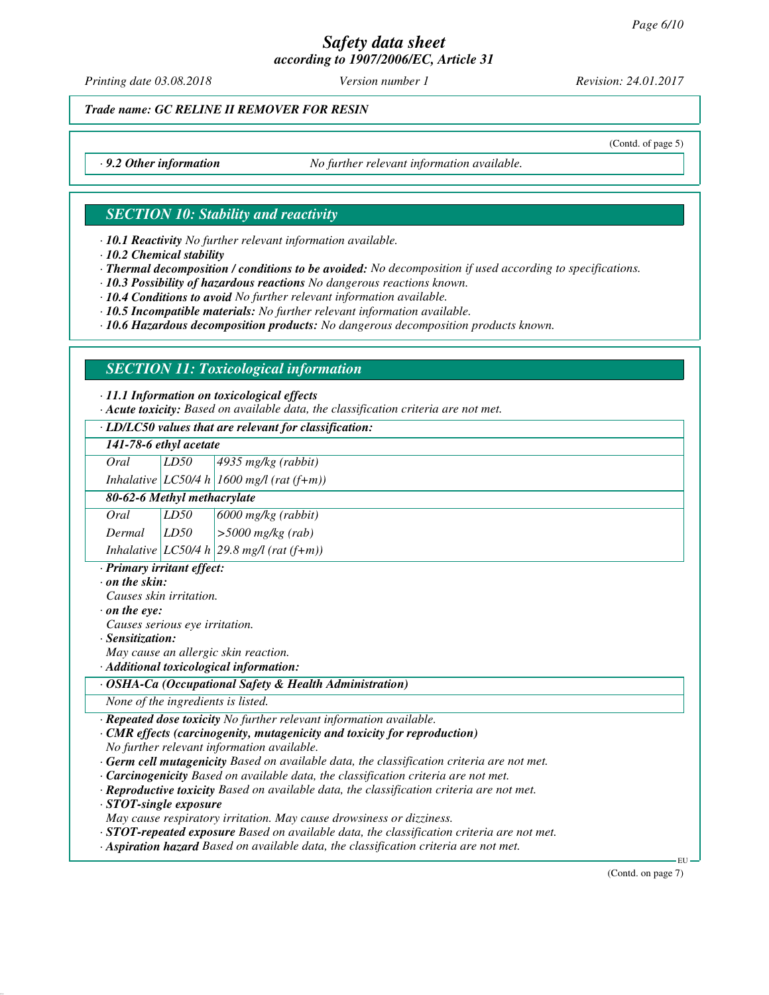# *Safety data sheet*

*according to 1907/2006/EC, Article 31*

*Printing date 03.08.2018 Version number 1 Revision: 24.01.2017*

(Contd. of page 5)

*Trade name: GC RELINE II REMOVER FOR RESIN*

*· 9.2 Other information No further relevant information available.*

## *SECTION 10: Stability and reactivity*

*· 10.1 Reactivity No further relevant information available.*

*· 10.2 Chemical stability*

*· Thermal decomposition / conditions to be avoided: No decomposition if used according to specifications.*

*· 10.3 Possibility of hazardous reactions No dangerous reactions known.*

*· 10.4 Conditions to avoid No further relevant information available.*

*· 10.5 Incompatible materials: No further relevant information available.*

*· 10.6 Hazardous decomposition products: No dangerous decomposition products known.*

# *SECTION 11: Toxicological information*

*· 11.1 Information on toxicological effects*

*· Acute toxicity: Based on available data, the classification criteria are not met.*

### *· LD/LC50 values that are relevant for classification:*

| . LD/LC50 values that are relevant for classification: |                        |                                              |  |
|--------------------------------------------------------|------------------------|----------------------------------------------|--|
|                                                        | 141-78-6 ethyl acetate |                                              |  |
| Oral                                                   | LD50                   | $4935$ mg/kg (rabbit)                        |  |
|                                                        |                        | Inhalative LC50/4 h 1600 mg/l (rat $(f+m)$ ) |  |

# *80-62-6 Methyl methacrylate Oral LD50 6000 mg/kg (rabbit)*

*Dermal LD50 >5000 mg/kg (rab) Inhalative LC50/4 h 29.8 mg/l (rat (f+m))*

*· Primary irritant effect:*

*· on the skin:*

*Causes skin irritation.*

*· on the eye:*

*Causes serious eye irritation.*

*· Sensitization:*

*May cause an allergic skin reaction.*

*· Additional toxicological information:*

*· OSHA-Ca (Occupational Safety & Health Administration)*

*None of the ingredients is listed.*

*· Repeated dose toxicity No further relevant information available.*

*· CMR effects (carcinogenity, mutagenicity and toxicity for reproduction)*

*No further relevant information available.*

*· Germ cell mutagenicity Based on available data, the classification criteria are not met.*

- *· Carcinogenicity Based on available data, the classification criteria are not met.*
- *· Reproductive toxicity Based on available data, the classification criteria are not met.*
- *· STOT-single exposure*

*May cause respiratory irritation. May cause drowsiness or dizziness.*

*· STOT-repeated exposure Based on available data, the classification criteria are not met.*

*· Aspiration hazard Based on available data, the classification criteria are not met.*

(Contd. on page 7)

EU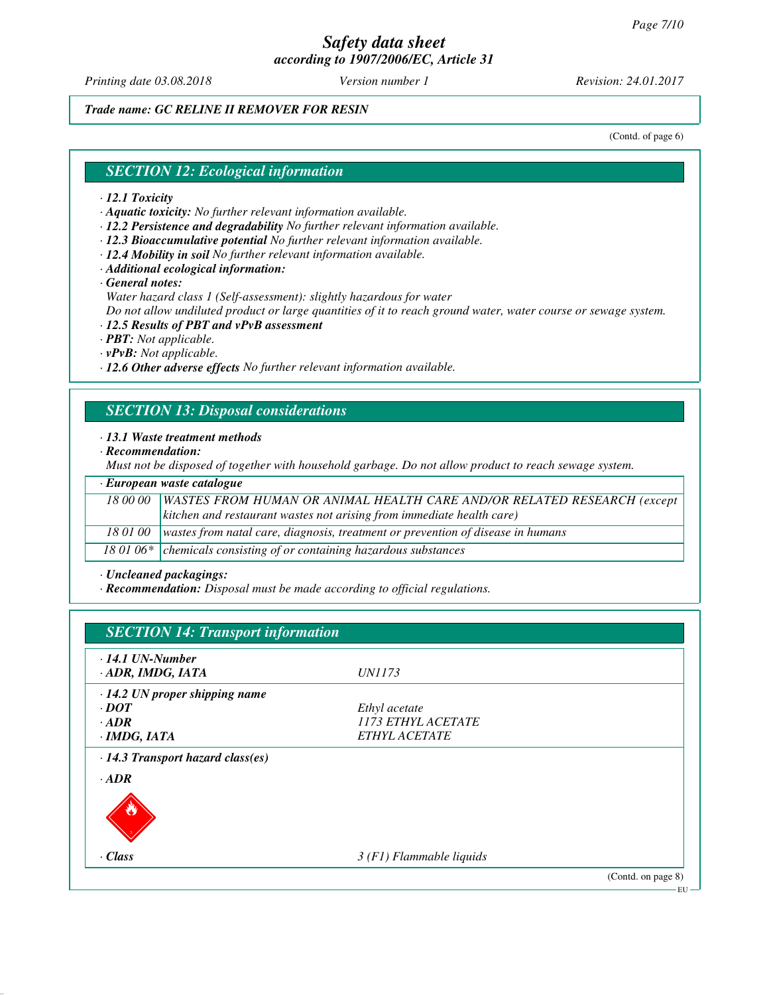*Printing date 03.08.2018 Version number 1 Revision: 24.01.2017*

*Trade name: GC RELINE II REMOVER FOR RESIN*

(Contd. of page 6)

#### *SECTION 12: Ecological information*

#### *· 12.1 Toxicity*

*· Aquatic toxicity: No further relevant information available.*

*· 12.2 Persistence and degradability No further relevant information available.*

*· 12.3 Bioaccumulative potential No further relevant information available.*

*· 12.4 Mobility in soil No further relevant information available.*

*· Additional ecological information:*

*· General notes:*

*Water hazard class 1 (Self-assessment): slightly hazardous for water*

*Do not allow undiluted product or large quantities of it to reach ground water, water course or sewage system.*

*· 12.5 Results of PBT and vPvB assessment*

*· PBT: Not applicable.*

*· vPvB: Not applicable.*

*· 12.6 Other adverse effects No further relevant information available.*

# *SECTION 13: Disposal considerations*

#### *· 13.1 Waste treatment methods*

*· Recommendation:*

*Must not be disposed of together with household garbage. Do not allow product to reach sewage system.*

| · European waste catalogue |                                                                                            |  |  |
|----------------------------|--------------------------------------------------------------------------------------------|--|--|
|                            | 18 00 00   WASTES FROM HUMAN OR ANIMAL HEALTH CARE AND/OR RELATED RESEARCH (except         |  |  |
|                            | kitchen and restaurant wastes not arising from immediate health care)                      |  |  |
|                            | 18 01 00   wastes from natal care, diagnosis, treatment or prevention of disease in humans |  |  |
|                            | 18 01 06 $*$ chemicals consisting of or containing hazardous substances                    |  |  |

*· Uncleaned packagings:*

*· Recommendation: Disposal must be made according to official regulations.*

| $\cdot$ 14.1 UN-Number                  |                           |  |
|-----------------------------------------|---------------------------|--|
| · ADR, IMDG, IATA                       | <i>UN1173</i>             |  |
| $\cdot$ 14.2 UN proper shipping name    |                           |  |
| $\cdot$ DOT                             | Ethyl acetate             |  |
| $\cdot$ ADR                             | 1173 ETHYL ACETATE        |  |
| · IMDG, IATA                            | ETHYL ACETATE             |  |
| $\cdot$ 14.3 Transport hazard class(es) |                           |  |
| $\cdot$ <i>ADR</i>                      |                           |  |
| $\cdot$ Class                           | $3(F1)$ Flammable liquids |  |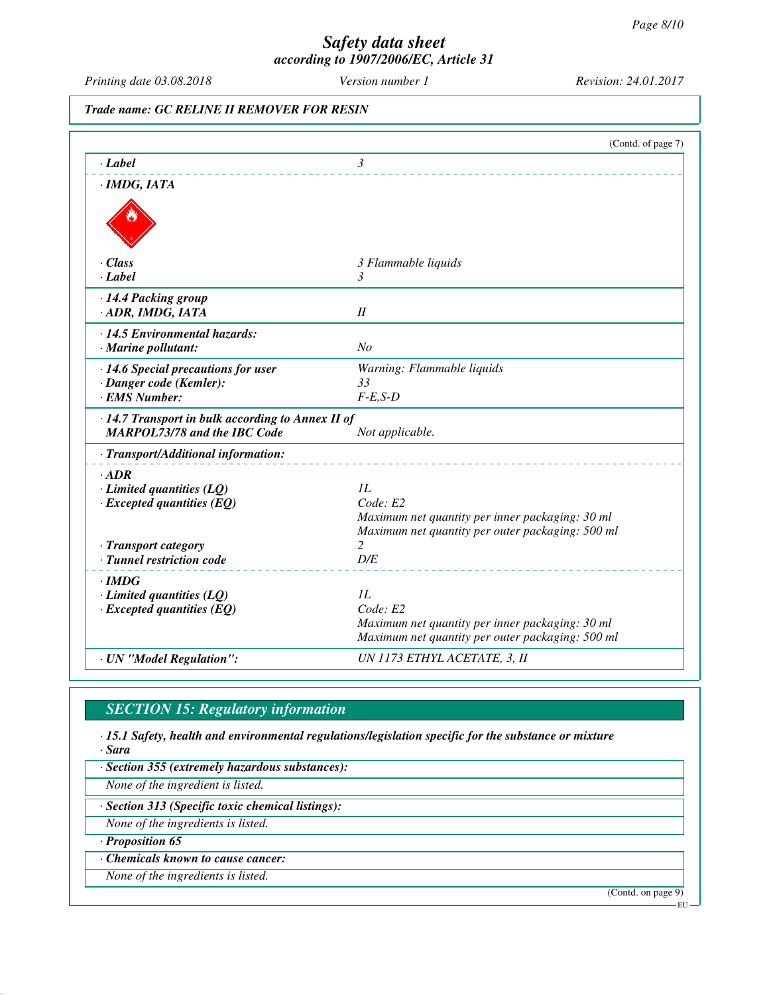*Printing date 03.08.2018 Version number 1 Revision: 24.01.2017*

*Trade name: GC RELINE II REMOVER FOR RESIN*

|                                                         | (Contd. of page 7)                                                                                  |
|---------------------------------------------------------|-----------------------------------------------------------------------------------------------------|
| $-Label$                                                | $\mathfrak{Z}$                                                                                      |
| $\cdot$ IMDG, IATA                                      |                                                                                                     |
|                                                         |                                                                                                     |
| $\cdot$ Class                                           | 3 Flammable liquids                                                                                 |
| $\cdot$ Label                                           | 3                                                                                                   |
| · 14.4 Packing group                                    |                                                                                                     |
| · ADR, IMDG, IATA                                       | $I\!I$                                                                                              |
| · 14.5 Environmental hazards:                           |                                                                                                     |
| · Marine pollutant:                                     | N <sub>O</sub>                                                                                      |
| $\cdot$ 14.6 Special precautions for user               | Warning: Flammable liquids                                                                          |
| · Danger code (Kemler):                                 | 33                                                                                                  |
| · EMS Number:                                           | $F-E,S-D$                                                                                           |
| $\cdot$ 14.7 Transport in bulk according to Annex II of |                                                                                                     |
| <b>MARPOL73/78 and the IBC Code</b>                     | Not applicable.                                                                                     |
| · Transport/Additional information:                     |                                                                                                     |
| $\cdot$ ADR                                             |                                                                                                     |
| $\cdot$ Limited quantities (LQ)                         | IL                                                                                                  |
| $\cdot$ Excepted quantities (EQ)                        | Code: E2                                                                                            |
|                                                         | Maximum net quantity per inner packaging: 30 ml<br>Maximum net quantity per outer packaging: 500 ml |
| · Transport category                                    | 2                                                                                                   |
| · Tunnel restriction code                               | D/E                                                                                                 |
| $\cdot$ IMDG                                            |                                                                                                     |
| $\cdot$ Limited quantities (LQ)                         | IL                                                                                                  |
| $\cdot$ Excepted quantities (EQ)                        | Code: E2                                                                                            |
|                                                         | Maximum net quantity per inner packaging: 30 ml                                                     |
|                                                         | Maximum net quantity per outer packaging: 500 ml                                                    |
| · UN "Model Regulation":                                | UN 1173 ETHYL ACETATE, 3, II                                                                        |

# *SECTION 15: Regulatory information*

*· 15.1 Safety, health and environmental regulations/legislation specific for the substance or mixture · Sara*

*· Section 355 (extremely hazardous substances):*

*None of the ingredient is listed.*

*· Section 313 (Specific toxic chemical listings):*

*None of the ingredients is listed.*

*· Proposition 65*

*· Chemicals known to cause cancer:*

*None of the ingredients is listed.*

(Contd. on page 9)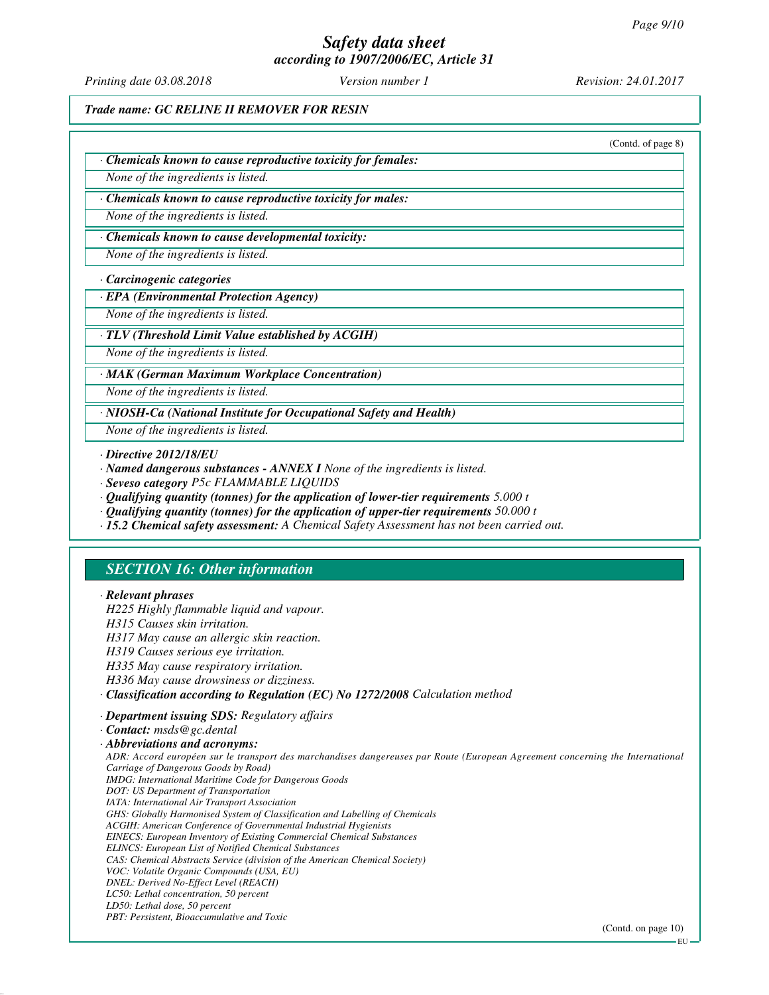# *Safety data sheet*

*according to 1907/2006/EC, Article 31*

*Printing date 03.08.2018 Version number 1 Revision: 24.01.2017*

*Trade name: GC RELINE II REMOVER FOR RESIN*

|                                                                     | (Contd. of page 8) |
|---------------------------------------------------------------------|--------------------|
| $\cdot$ Chemicals known to cause reproductive toxicity for females: |                    |
| None of the ingredients is listed.                                  |                    |
| Chemicals known to cause reproductive toxicity for males:           |                    |
| None of the ingredients is listed.                                  |                    |

#### *· Chemicals known to cause developmental toxicity:*

*None of the ingredients is listed.*

#### *· Carcinogenic categories*

#### *· EPA (Environmental Protection Agency)*

*None of the ingredients is listed.*

#### *· TLV (Threshold Limit Value established by ACGIH)*

*None of the ingredients is listed.*

#### *· MAK (German Maximum Workplace Concentration)*

*None of the ingredients is listed.*

*· NIOSH-Ca (National Institute for Occupational Safety and Health)*

*None of the ingredients is listed.*

#### *· Directive 2012/18/EU*

*· Named dangerous substances - ANNEX I None of the ingredients is listed.*

- *· Seveso category P5c FLAMMABLE LIQUIDS*
- *· Qualifying quantity (tonnes) for the application of lower-tier requirements 5.000 t*
- *· Qualifying quantity (tonnes) for the application of upper-tier requirements 50.000 t*
- *· 15.2 Chemical safety assessment: A Chemical Safety Assessment has not been carried out.*

#### *SECTION 16: Other information*

#### *· Relevant phrases*

*H225 Highly flammable liquid and vapour. H315 Causes skin irritation.*

- *H317 May cause an allergic skin reaction.*
- *H319 Causes serious eye irritation.*
- *H335 May cause respiratory irritation.*
- *H336 May cause drowsiness or dizziness.*
- *· Classification according to Regulation (EC) No 1272/2008 Calculation method*
- *· Department issuing SDS: Regulatory affairs*

(Contd. on page 10)

*<sup>·</sup> Contact: msds@gc.dental*

*<sup>·</sup> Abbreviations and acronyms:*

*ADR: Accord européen sur le transport des marchandises dangereuses par Route (European Agreement concerning the International Carriage of Dangerous Goods by Road) IMDG: International Maritime Code for Dangerous Goods DOT: US Department of Transportation IATA: International Air Transport Association GHS: Globally Harmonised System of Classification and Labelling of Chemicals ACGIH: American Conference of Governmental Industrial Hygienists EINECS: European Inventory of Existing Commercial Chemical Substances ELINCS: European List of Notified Chemical Substances CAS: Chemical Abstracts Service (division of the American Chemical Society) VOC: Volatile Organic Compounds (USA, EU) DNEL: Derived No-Effect Level (REACH) LC50: Lethal concentration, 50 percent LD50: Lethal dose, 50 percent PBT: Persistent, Bioaccumulative and Toxic*